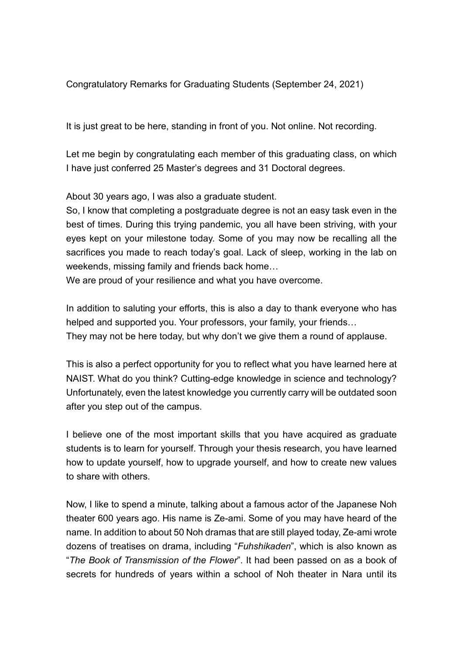Congratulatory Remarks for Graduating Students (September 24, 2021)

It is just great to be here, standing in front of you. Not online. Not recording.

Let me begin by congratulating each member of this graduating class, on which I have just conferred 25 Master's degrees and 31 Doctoral degrees.

About 30 years ago, I was also a graduate student.

So, I know that completing a postgraduate degree is not an easy task even in the best of times. During this trying pandemic, you all have been striving, with your eyes kept on your milestone today. Some of you may now be recalling all the sacrifices you made to reach today's goal. Lack of sleep, working in the lab on weekends, missing family and friends back home…

We are proud of your resilience and what you have overcome.

In addition to saluting your efforts, this is also a day to thank everyone who has helped and supported you. Your professors, your family, your friends… They may not be here today, but why don't we give them a round of applause.

This is also a perfect opportunity for you to reflect what you have learned here at NAIST. What do you think? Cutting-edge knowledge in science and technology? Unfortunately, even the latest knowledge you currently carry will be outdated soon after you step out of the campus.

I believe one of the most important skills that you have acquired as graduate students is to learn for yourself. Through your thesis research, you have learned how to update yourself, how to upgrade yourself, and how to create new values to share with others.

Now, I like to spend a minute, talking about a famous actor of the Japanese Noh theater 600 years ago. His name is Ze-ami. Some of you may have heard of the name. In addition to about 50 Noh dramas that are still played today, Ze-ami wrote dozens of treatises on drama, including "*Fuhshikaden*", which is also known as "*The Book of Transmission of the Flower*". It had been passed on as a book of secrets for hundreds of years within a school of Noh theater in Nara until its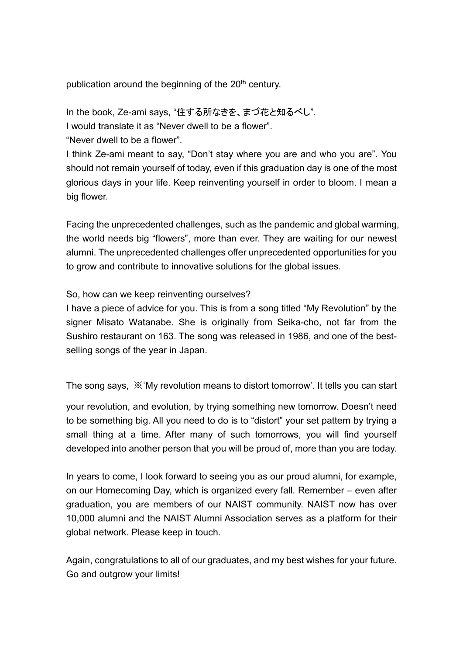publication around the beginning of the  $20<sup>th</sup>$  century.

In the book, Ze-ami says, "住する所なきを、まづ花と知るべし".

I would translate it as "Never dwell to be a flower".

"Never dwell to be a flower".

I think Ze-ami meant to say, "Don't stay where you are and who you are". You should not remain yourself of today, even if this graduation day is one of the most glorious days in your life. Keep reinventing yourself in order to bloom. I mean a big flower.

Facing the unprecedented challenges, such as the pandemic and global warming, the world needs big "flowers", more than ever. They are waiting for our newest alumni. The unprecedented challenges offer unprecedented opportunities for you to grow and contribute to innovative solutions for the global issues.

So, how can we keep reinventing ourselves?

I have a piece of advice for you. This is from a song titled "My Revolution" by the signer Misato Watanabe. She is originally from Seika-cho, not far from the Sushiro restaurant on 163. The song was released in 1986, and one of the bestselling songs of the year in Japan.

The song says, ※'My revolution means to distort tomorrow'. It tells you can start

your revolution, and evolution, by trying something new tomorrow. Doesn't need to be something big. All you need to do is to "distort" your set pattern by trying a small thing at a time. After many of such tomorrows, you will find yourself developed into another person that you will be proud of, more than you are today.

In years to come, I look forward to seeing you as our proud alumni, for example, on our Homecoming Day, which is organized every fall. Remember – even after graduation, you are members of our NAIST community. NAIST now has over 10,000 alumni and the NAIST Alumni Association serves as a platform for their global network. Please keep in touch.

Again, congratulations to all of our graduates, and my best wishes for your future. Go and outgrow your limits!